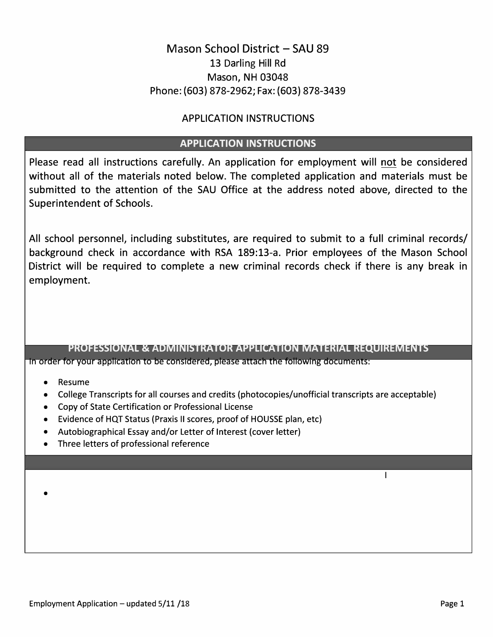## Mason School District - SAU 89 13 Darling Hill Rd Mason, NH 03048 Phone: (603) 878-2962; Fax: (603) 878-3439

### APPLICATION INSTRUCTIONS

### **APPLICATION INSTRUCTIONS**

Please read all instructions carefully. An application for employment will not be considered without all of the materials noted below. The completed application and materials must be submitted to the attention of the SAU Office at the address noted above, directed to the Superintendent of Schools.

All school personnel, including substitutes, are required to submit to a full criminal records/ background check in accordance with RSA 189:13-a. Prior employees of the Mason School District will be required to complete a new criminal records check if there is any break in employment.

#### **PROFESSIONAL & ADMINISTRATOR APPLICATION MATERIAL REQUIREMENTS**  In order for your application to be considered, please attach the following documents:

- Resume
- College Transcripts for all courses and credits (photocopies/unofficial transcripts are acceptable)
- Copy of State Certification or Professional License
- Evidence of HQT Status (Praxis II scores, proof of HOUSSE plan, etc)
- Autobiographical Essay and/or Letter of Interest (cover letter)
- Three letters of professional reference

•

I

 $\mathbf{I}$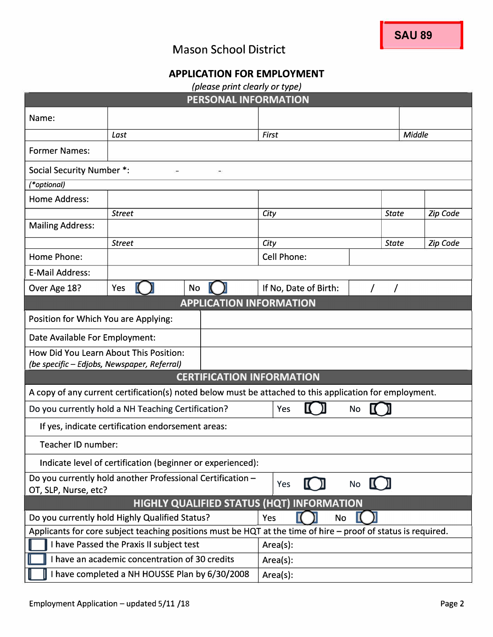# Mason School District

## **APPLICATION FOR EMPLOYMENT**

| (please print clearly or type)                                                                                  |               |  |                       |                                    |                 |                 |  |
|-----------------------------------------------------------------------------------------------------------------|---------------|--|-----------------------|------------------------------------|-----------------|-----------------|--|
| PERSONAL INFORMATION                                                                                            |               |  |                       |                                    |                 |                 |  |
| Name:                                                                                                           |               |  |                       |                                    |                 |                 |  |
|                                                                                                                 | Last          |  | <b>First</b>          |                                    | Middle          |                 |  |
| <b>Former Names:</b>                                                                                            |               |  |                       |                                    |                 |                 |  |
| <b>Social Security Number *:</b>                                                                                |               |  |                       |                                    |                 |                 |  |
| (*optional)                                                                                                     |               |  |                       |                                    |                 |                 |  |
| Home Address:                                                                                                   |               |  |                       |                                    |                 |                 |  |
|                                                                                                                 | <b>Street</b> |  | City                  | <b>State</b>                       | <b>Zip Code</b> |                 |  |
| <b>Mailing Address:</b>                                                                                         |               |  |                       |                                    |                 |                 |  |
|                                                                                                                 | <b>Street</b> |  | City                  |                                    | <b>State</b>    | <b>Zip Code</b> |  |
| Home Phone:                                                                                                     |               |  | <b>Cell Phone:</b>    |                                    |                 |                 |  |
| <b>E-Mail Address:</b>                                                                                          |               |  |                       |                                    |                 |                 |  |
| Over Age 18?                                                                                                    | Yes<br>No     |  | If No, Date of Birth: |                                    |                 |                 |  |
| <b>APPLICATION INFORMATION</b>                                                                                  |               |  |                       |                                    |                 |                 |  |
| Position for Which You are Applying:                                                                            |               |  |                       |                                    |                 |                 |  |
| Date Available For Employment:                                                                                  |               |  |                       |                                    |                 |                 |  |
| How Did You Learn About This Position:                                                                          |               |  |                       |                                    |                 |                 |  |
| (be specific - Edjobs, Newspaper, Referral)<br><b>CERTIFICATION INFORMATION</b>                                 |               |  |                       |                                    |                 |                 |  |
| A copy of any current certification(s) noted below must be attached to this application for employment.         |               |  |                       |                                    |                 |                 |  |
| Do you currently hold a NH Teaching Certification?<br>Yes<br>No                                                 |               |  |                       |                                    |                 |                 |  |
| If yes, indicate certification endorsement areas:                                                               |               |  |                       |                                    |                 |                 |  |
| Teacher ID number:                                                                                              |               |  |                       |                                    |                 |                 |  |
| Indicate level of certification (beginner or experienced):                                                      |               |  |                       |                                    |                 |                 |  |
| Do you currently hold another Professional Certification -                                                      |               |  |                       |                                    |                 |                 |  |
| OT, SLP, Nurse, etc?                                                                                            |               |  | Yes                   | $No$ $\lbrack$ $\lbrack$ $\rbrack$ |                 |                 |  |
| <b>HIGHLY QUALIFIED STATUS (HQT) INFORMATION</b>                                                                |               |  |                       |                                    |                 |                 |  |
| Do you currently hold Highly Qualified Status?<br>No<br>Yes                                                     |               |  |                       |                                    |                 |                 |  |
| Applicants for core subject teaching positions must be HQT at the time of hire $-$ proof of status is required. |               |  |                       |                                    |                 |                 |  |
| I have Passed the Praxis II subject test<br>Area(s):                                                            |               |  |                       |                                    |                 |                 |  |
| I have an academic concentration of 30 credits<br>Area(s):                                                      |               |  |                       |                                    |                 |                 |  |
| have completed a NH HOUSSE Plan by 6/30/2008<br>Area(s):                                                        |               |  |                       |                                    |                 |                 |  |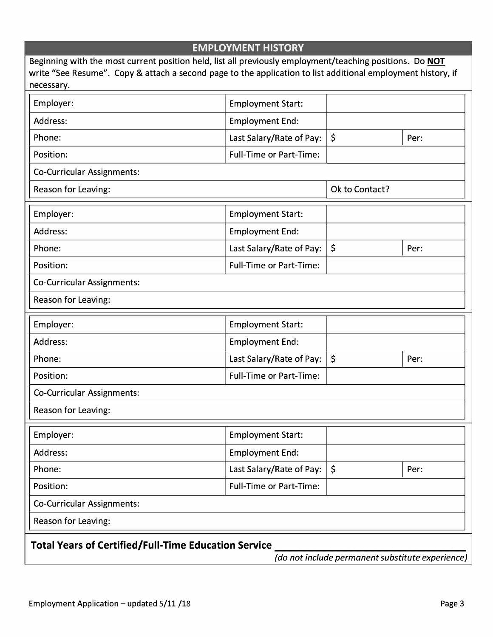| <b>EMPLOYMENT HISTORY</b>                                                                                                                                                                                                              |                                |         |      |  |  |  |  |  |  |
|----------------------------------------------------------------------------------------------------------------------------------------------------------------------------------------------------------------------------------------|--------------------------------|---------|------|--|--|--|--|--|--|
| Beginning with the most current position held, list all previously employment/teaching positions. Do NOT<br>write "See Resume". Copy & attach a second page to the application to list additional employment history, if<br>necessary. |                                |         |      |  |  |  |  |  |  |
| Employer:                                                                                                                                                                                                                              | <b>Employment Start:</b>       |         |      |  |  |  |  |  |  |
| Address:                                                                                                                                                                                                                               | <b>Employment End:</b>         |         |      |  |  |  |  |  |  |
| Phone:                                                                                                                                                                                                                                 | Last Salary/Rate of Pay:       | $\zeta$ | Per: |  |  |  |  |  |  |
| Position:                                                                                                                                                                                                                              | <b>Full-Time or Part-Time:</b> |         |      |  |  |  |  |  |  |
| <b>Co-Curricular Assignments:</b>                                                                                                                                                                                                      |                                |         |      |  |  |  |  |  |  |
| Reason for Leaving:                                                                                                                                                                                                                    | Ok to Contact?                 |         |      |  |  |  |  |  |  |
| Employer:                                                                                                                                                                                                                              | <b>Employment Start:</b>       |         |      |  |  |  |  |  |  |
| Address:                                                                                                                                                                                                                               | <b>Employment End:</b>         |         |      |  |  |  |  |  |  |
| Phone:                                                                                                                                                                                                                                 | Last Salary/Rate of Pay:       | $\zeta$ | Per: |  |  |  |  |  |  |
| Position:                                                                                                                                                                                                                              | <b>Full-Time or Part-Time:</b> |         |      |  |  |  |  |  |  |
| <b>Co-Curricular Assignments:</b>                                                                                                                                                                                                      |                                |         |      |  |  |  |  |  |  |
| <b>Reason for Leaving:</b>                                                                                                                                                                                                             |                                |         |      |  |  |  |  |  |  |
| Employer:                                                                                                                                                                                                                              | <b>Employment Start:</b>       |         |      |  |  |  |  |  |  |
| Address:                                                                                                                                                                                                                               | <b>Employment End:</b>         |         |      |  |  |  |  |  |  |
| Phone:                                                                                                                                                                                                                                 | Last Salary/Rate of Pay:       | \$      | Per: |  |  |  |  |  |  |
| Position:                                                                                                                                                                                                                              | <b>Full-Time or Part-Time:</b> |         |      |  |  |  |  |  |  |
| <b>Co-Curricular Assignments:</b>                                                                                                                                                                                                      |                                |         |      |  |  |  |  |  |  |
| <b>Reason for Leaving:</b>                                                                                                                                                                                                             |                                |         |      |  |  |  |  |  |  |
| Employer:                                                                                                                                                                                                                              | <b>Employment Start:</b>       |         |      |  |  |  |  |  |  |
| Address:                                                                                                                                                                                                                               | <b>Employment End:</b>         |         |      |  |  |  |  |  |  |
| Phone:                                                                                                                                                                                                                                 | Last Salary/Rate of Pay:       | \$      | Per: |  |  |  |  |  |  |
| Position:                                                                                                                                                                                                                              | <b>Full-Time or Part-Time:</b> |         |      |  |  |  |  |  |  |
| <b>Co-Curricular Assignments:</b>                                                                                                                                                                                                      |                                |         |      |  |  |  |  |  |  |
| Reason for Leaving:                                                                                                                                                                                                                    |                                |         |      |  |  |  |  |  |  |
| <b>Total Years of Certified/Full-Time Education Service</b>                                                                                                                                                                            |                                |         |      |  |  |  |  |  |  |

*(do not include permanent substitute experience)*